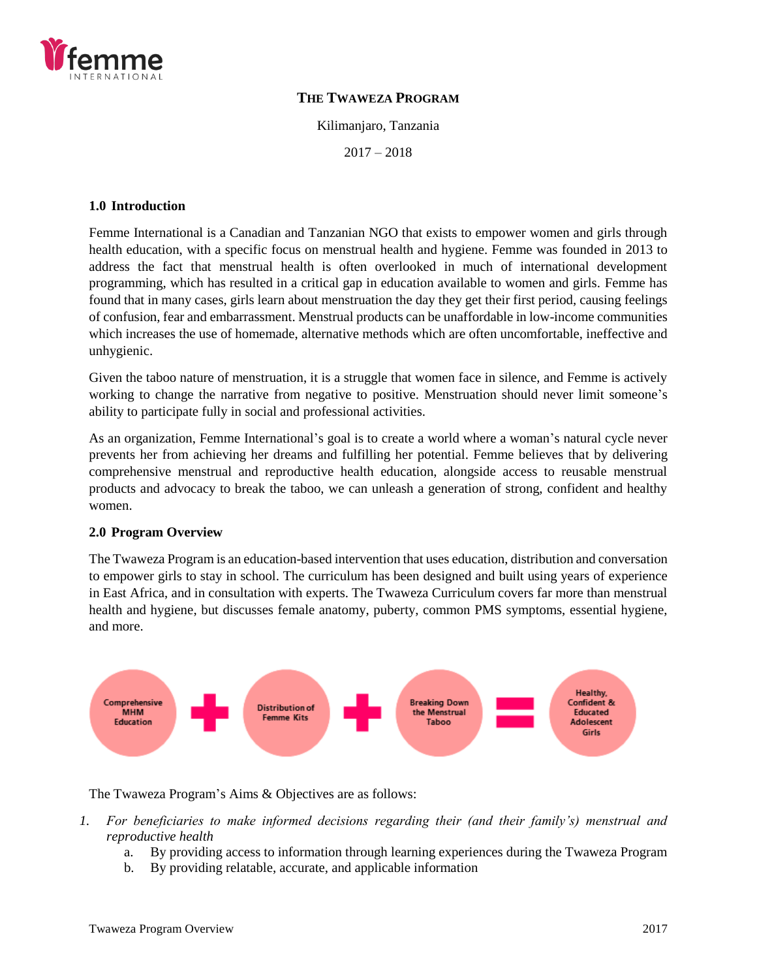

## **THE TWAWEZA PROGRAM**

Kilimanjaro, Tanzania

 $2017 - 2018$ 

#### **1.0 Introduction**

Femme International is a Canadian and Tanzanian NGO that exists to empower women and girls through health education, with a specific focus on menstrual health and hygiene. Femme was founded in 2013 to address the fact that menstrual health is often overlooked in much of international development programming, which has resulted in a critical gap in education available to women and girls. Femme has found that in many cases, girls learn about menstruation the day they get their first period, causing feelings of confusion, fear and embarrassment. Menstrual products can be unaffordable in low-income communities which increases the use of homemade, alternative methods which are often uncomfortable, ineffective and unhygienic.

Given the taboo nature of menstruation, it is a struggle that women face in silence, and Femme is actively working to change the narrative from negative to positive. Menstruation should never limit someone's ability to participate fully in social and professional activities.

As an organization, Femme International's goal is to create a world where a woman's natural cycle never prevents her from achieving her dreams and fulfilling her potential. Femme believes that by delivering comprehensive menstrual and reproductive health education, alongside access to reusable menstrual products and advocacy to break the taboo, we can unleash a generation of strong, confident and healthy women.

### **2.0 Program Overview**

The Twaweza Program is an education-based intervention that uses education, distribution and conversation to empower girls to stay in school. The curriculum has been designed and built using years of experience in East Africa, and in consultation with experts. The Twaweza Curriculum covers far more than menstrual health and hygiene, but discusses female anatomy, puberty, common PMS symptoms, essential hygiene, and more.



The Twaweza Program's Aims & Objectives are as follows:

- *1. For beneficiaries to make informed decisions regarding their (and their family's) menstrual and reproductive health*
	- a. By providing access to information through learning experiences during the Twaweza Program
	- b. By providing relatable, accurate, and applicable information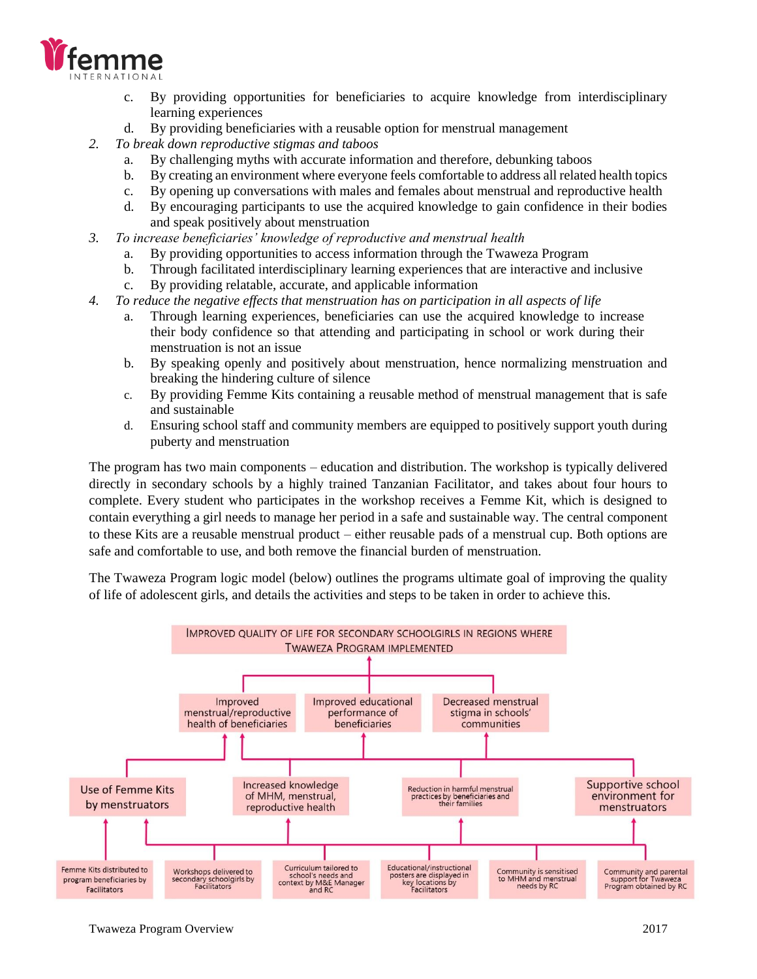

- c. By providing opportunities for beneficiaries to acquire knowledge from interdisciplinary learning experiences
- d. By providing beneficiaries with a reusable option for menstrual management
- *2. To break down reproductive stigmas and taboos*
	- a. By challenging myths with accurate information and therefore, debunking taboos
	- b. By creating an environment where everyone feels comfortable to address all related health topics
	- c. By opening up conversations with males and females about menstrual and reproductive health
	- d. By encouraging participants to use the acquired knowledge to gain confidence in their bodies and speak positively about menstruation
- *3. To increase beneficiaries' knowledge of reproductive and menstrual health* 
	- a. By providing opportunities to access information through the Twaweza Program
	- b. Through facilitated interdisciplinary learning experiences that are interactive and inclusive
	- c. By providing relatable, accurate, and applicable information
- *4. To reduce the negative effects that menstruation has on participation in all aspects of life*
	- a. Through learning experiences, beneficiaries can use the acquired knowledge to increase their body confidence so that attending and participating in school or work during their menstruation is not an issue
	- b. By speaking openly and positively about menstruation, hence normalizing menstruation and breaking the hindering culture of silence
	- c. By providing Femme Kits containing a reusable method of menstrual management that is safe and sustainable
	- d. Ensuring school staff and community members are equipped to positively support youth during puberty and menstruation

The program has two main components – education and distribution. The workshop is typically delivered directly in secondary schools by a highly trained Tanzanian Facilitator, and takes about four hours to complete. Every student who participates in the workshop receives a Femme Kit, which is designed to contain everything a girl needs to manage her period in a safe and sustainable way. The central component to these Kits are a reusable menstrual product – either reusable pads of a menstrual cup. Both options are safe and comfortable to use, and both remove the financial burden of menstruation.

The Twaweza Program logic model (below) outlines the programs ultimate goal of improving the quality of life of adolescent girls, and details the activities and steps to be taken in order to achieve this.

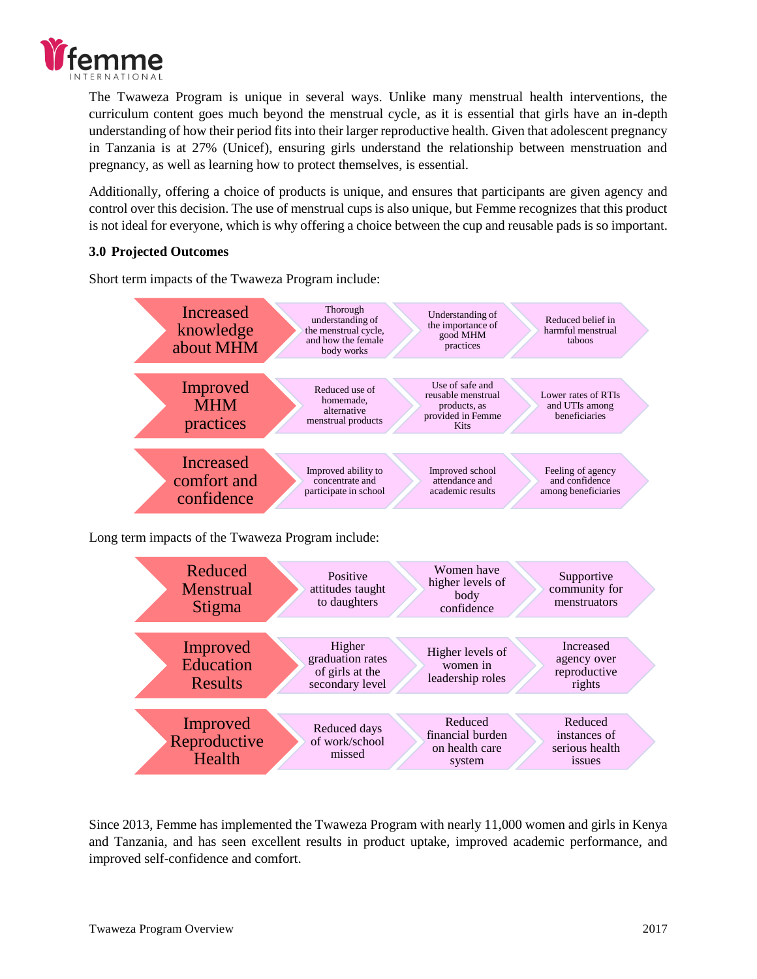

The Twaweza Program is unique in several ways. Unlike many menstrual health interventions, the curriculum content goes much beyond the menstrual cycle, as it is essential that girls have an in-depth understanding of how their period fits into their larger reproductive health. Given that adolescent pregnancy in Tanzania is at 27% (Unicef), ensuring girls understand the relationship between menstruation and pregnancy, as well as learning how to protect themselves, is essential.

Additionally, offering a choice of products is unique, and ensures that participants are given agency and control over this decision. The use of menstrual cups is also unique, but Femme recognizes that this product is not ideal for everyone, which is why offering a choice between the cup and reusable pads is so important.

# **3.0 Projected Outcomes**

Short term impacts of the Twaweza Program include:



Long term impacts of the Twaweza Program include:



Since 2013, Femme has implemented the Twaweza Program with nearly 11,000 women and girls in Kenya and Tanzania, and has seen excellent results in product uptake, improved academic performance, and improved self-confidence and comfort.